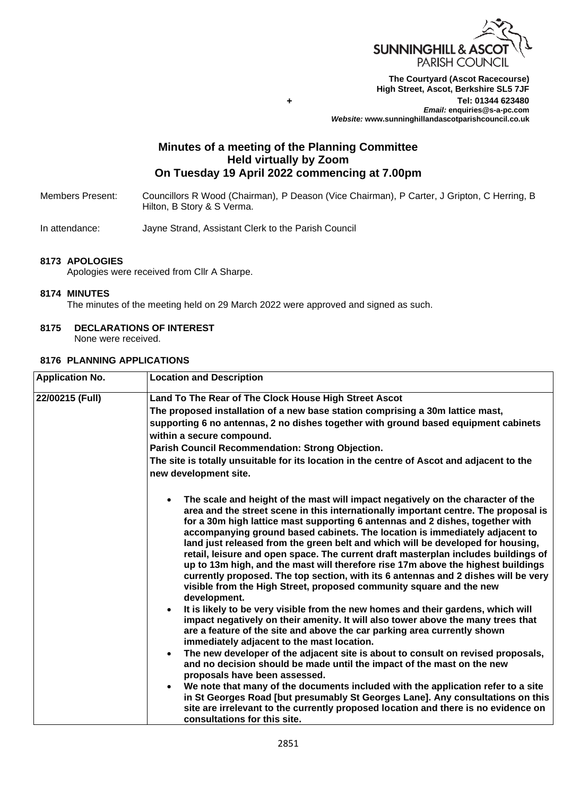

**The Courtyard (Ascot Racecourse) High Street, Ascot, Berkshire SL5 7JF Tel: 01344 623480**  *Email:* **enquiries@s-a-pc.com** *Website:* **www.sunninghillandascotparishcouncil.co.uk**

# **Minutes of a meeting of the Planning Committee Held virtually by Zoom On Tuesday 19 April 2022 commencing at 7.00pm**

**+**

Members Present: Councillors R Wood (Chairman), P Deason (Vice Chairman), P Carter, J Gripton, C Herring, B Hilton, B Story & S Verma.

In attendance: Jayne Strand, Assistant Clerk to the Parish Council

### **8173 APOLOGIES**

Apologies were received from Cllr A Sharpe.

### **8174 MINUTES**

The minutes of the meeting held on 29 March 2022 were approved and signed as such.

### **8175 DECLARATIONS OF INTEREST**

None were received.

# **8176 PLANNING APPLICATIONS**

| <b>Application No.</b> | <b>Location and Description</b>                                                                                                                                                                                                                                                                                                                                                                                                                                                                                                                                                                                                                                                                                                                                                                                                                                                                                                                                                                                                                                                                                                                                                                                                                                                                                                                                                                                                                                                                |
|------------------------|------------------------------------------------------------------------------------------------------------------------------------------------------------------------------------------------------------------------------------------------------------------------------------------------------------------------------------------------------------------------------------------------------------------------------------------------------------------------------------------------------------------------------------------------------------------------------------------------------------------------------------------------------------------------------------------------------------------------------------------------------------------------------------------------------------------------------------------------------------------------------------------------------------------------------------------------------------------------------------------------------------------------------------------------------------------------------------------------------------------------------------------------------------------------------------------------------------------------------------------------------------------------------------------------------------------------------------------------------------------------------------------------------------------------------------------------------------------------------------------------|
| 22/00215 (Full)        | Land To The Rear of The Clock House High Street Ascot                                                                                                                                                                                                                                                                                                                                                                                                                                                                                                                                                                                                                                                                                                                                                                                                                                                                                                                                                                                                                                                                                                                                                                                                                                                                                                                                                                                                                                          |
|                        | The proposed installation of a new base station comprising a 30m lattice mast,                                                                                                                                                                                                                                                                                                                                                                                                                                                                                                                                                                                                                                                                                                                                                                                                                                                                                                                                                                                                                                                                                                                                                                                                                                                                                                                                                                                                                 |
|                        | supporting 6 no antennas, 2 no dishes together with ground based equipment cabinets<br>within a secure compound.                                                                                                                                                                                                                                                                                                                                                                                                                                                                                                                                                                                                                                                                                                                                                                                                                                                                                                                                                                                                                                                                                                                                                                                                                                                                                                                                                                               |
|                        | Parish Council Recommendation: Strong Objection.                                                                                                                                                                                                                                                                                                                                                                                                                                                                                                                                                                                                                                                                                                                                                                                                                                                                                                                                                                                                                                                                                                                                                                                                                                                                                                                                                                                                                                               |
|                        | The site is totally unsuitable for its location in the centre of Ascot and adjacent to the<br>new development site.                                                                                                                                                                                                                                                                                                                                                                                                                                                                                                                                                                                                                                                                                                                                                                                                                                                                                                                                                                                                                                                                                                                                                                                                                                                                                                                                                                            |
|                        | The scale and height of the mast will impact negatively on the character of the<br>$\bullet$<br>area and the street scene in this internationally important centre. The proposal is<br>for a 30m high lattice mast supporting 6 antennas and 2 dishes, together with<br>accompanying ground based cabinets. The location is immediately adjacent to<br>land just released from the green belt and which will be developed for housing,<br>retail, leisure and open space. The current draft masterplan includes buildings of<br>up to 13m high, and the mast will therefore rise 17m above the highest buildings<br>currently proposed. The top section, with its 6 antennas and 2 dishes will be very<br>visible from the High Street, proposed community square and the new<br>development.<br>It is likely to be very visible from the new homes and their gardens, which will<br>impact negatively on their amenity. It will also tower above the many trees that<br>are a feature of the site and above the car parking area currently shown<br>immediately adjacent to the mast location.<br>The new developer of the adjacent site is about to consult on revised proposals,<br>$\bullet$<br>and no decision should be made until the impact of the mast on the new<br>proposals have been assessed.<br>We note that many of the documents included with the application refer to a site<br>$\bullet$<br>in St Georges Road [but presumably St Georges Lane]. Any consultations on this |
|                        | site are irrelevant to the currently proposed location and there is no evidence on<br>consultations for this site.                                                                                                                                                                                                                                                                                                                                                                                                                                                                                                                                                                                                                                                                                                                                                                                                                                                                                                                                                                                                                                                                                                                                                                                                                                                                                                                                                                             |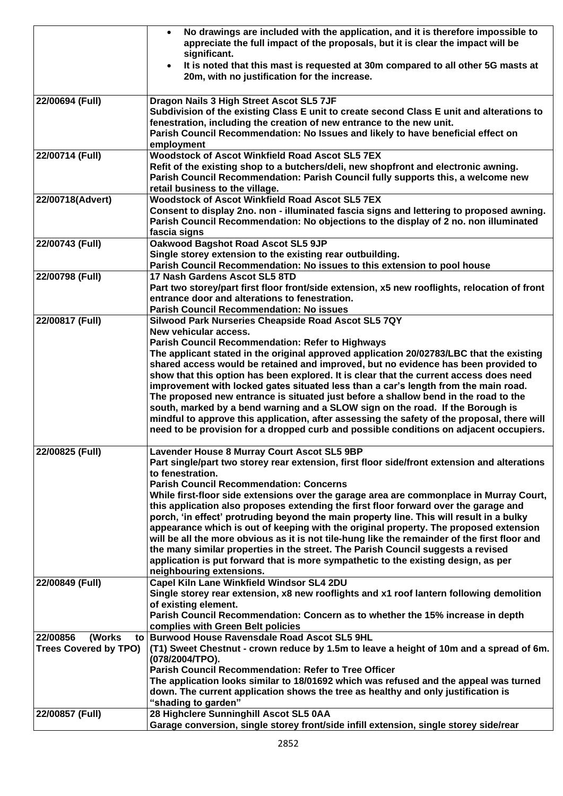|                                                                       | No drawings are included with the application, and it is therefore impossible to<br>$\bullet$<br>appreciate the full impact of the proposals, but it is clear the impact will be<br>significant.<br>It is noted that this mast is requested at 30m compared to all other 5G masts at<br>$\bullet$                                                                                                                                                                                                                                                                                                                                                                                                                                                                                                                                                                                                |
|-----------------------------------------------------------------------|--------------------------------------------------------------------------------------------------------------------------------------------------------------------------------------------------------------------------------------------------------------------------------------------------------------------------------------------------------------------------------------------------------------------------------------------------------------------------------------------------------------------------------------------------------------------------------------------------------------------------------------------------------------------------------------------------------------------------------------------------------------------------------------------------------------------------------------------------------------------------------------------------|
|                                                                       | 20m, with no justification for the increase.                                                                                                                                                                                                                                                                                                                                                                                                                                                                                                                                                                                                                                                                                                                                                                                                                                                     |
| 22/00694 (Full)                                                       | Dragon Nails 3 High Street Ascot SL5 7JF<br>Subdivision of the existing Class E unit to create second Class E unit and alterations to<br>fenestration, including the creation of new entrance to the new unit.<br>Parish Council Recommendation: No Issues and likely to have beneficial effect on<br>employment                                                                                                                                                                                                                                                                                                                                                                                                                                                                                                                                                                                 |
| 22/00714 (Full)                                                       | <b>Woodstock of Ascot Winkfield Road Ascot SL5 7EX</b><br>Refit of the existing shop to a butchers/deli, new shopfront and electronic awning.<br>Parish Council Recommendation: Parish Council fully supports this, a welcome new<br>retail business to the village.                                                                                                                                                                                                                                                                                                                                                                                                                                                                                                                                                                                                                             |
| 22/00718(Advert)                                                      | <b>Woodstock of Ascot Winkfield Road Ascot SL5 7EX</b><br>Consent to display 2no. non - illuminated fascia signs and lettering to proposed awning.<br>Parish Council Recommendation: No objections to the display of 2 no. non illuminated<br>fascia signs                                                                                                                                                                                                                                                                                                                                                                                                                                                                                                                                                                                                                                       |
| 22/00743 (Full)                                                       | Oakwood Bagshot Road Ascot SL5 9JP<br>Single storey extension to the existing rear outbuilding.<br>Parish Council Recommendation: No issues to this extension to pool house                                                                                                                                                                                                                                                                                                                                                                                                                                                                                                                                                                                                                                                                                                                      |
| 22/00798 (Full)                                                       | 17 Nash Gardens Ascot SL5 8TD<br>Part two storey/part first floor front/side extension, x5 new rooflights, relocation of front<br>entrance door and alterations to fenestration.<br><b>Parish Council Recommendation: No issues</b>                                                                                                                                                                                                                                                                                                                                                                                                                                                                                                                                                                                                                                                              |
| 22/00817 (Full)                                                       | Silwood Park Nurseries Cheapside Road Ascot SL5 7QY<br>New vehicular access.<br><b>Parish Council Recommendation: Refer to Highways</b><br>The applicant stated in the original approved application 20/02783/LBC that the existing<br>shared access would be retained and improved, but no evidence has been provided to<br>show that this option has been explored. It is clear that the current access does need<br>improvement with locked gates situated less than a car's length from the main road.<br>The proposed new entrance is situated just before a shallow bend in the road to the<br>south, marked by a bend warning and a SLOW sign on the road. If the Borough is<br>mindful to approve this application, after assessing the safety of the proposal, there will<br>need to be provision for a dropped curb and possible conditions on adjacent occupiers.                     |
| 22/00825 (Full)                                                       | Lavender House 8 Murray Court Ascot SL5 9BP<br>Part single/part two storey rear extension, first floor side/front extension and alterations<br>to fenestration.<br><b>Parish Council Recommendation: Concerns</b><br>While first-floor side extensions over the garage area are commonplace in Murray Court,<br>this application also proposes extending the first floor forward over the garage and<br>porch, 'in effect' protruding beyond the main property line. This will result in a bulky<br>appearance which is out of keeping with the original property. The proposed extension<br>will be all the more obvious as it is not tile-hung like the remainder of the first floor and<br>the many similar properties in the street. The Parish Council suggests a revised<br>application is put forward that is more sympathetic to the existing design, as per<br>neighbouring extensions. |
| 22/00849 (Full)                                                       | Capel Kiln Lane Winkfield Windsor SL4 2DU<br>Single storey rear extension, x8 new rooflights and x1 roof lantern following demolition<br>of existing element.<br>Parish Council Recommendation: Concern as to whether the 15% increase in depth<br>complies with Green Belt policies                                                                                                                                                                                                                                                                                                                                                                                                                                                                                                                                                                                                             |
| 22/00856<br>(Works<br><b>Trees Covered by TPO)</b><br>22/00857 (Full) | to Burwood House Ravensdale Road Ascot SL5 9HL<br>(T1) Sweet Chestnut - crown reduce by 1.5m to leave a height of 10m and a spread of 6m.<br>(078/2004/TPO).<br>Parish Council Recommendation: Refer to Tree Officer<br>The application looks similar to 18/01692 which was refused and the appeal was turned<br>down. The current application shows the tree as healthy and only justification is<br>"shading to garden"<br>28 Highclere Sunninghill Ascot SL5 0AA                                                                                                                                                                                                                                                                                                                                                                                                                              |
|                                                                       | Garage conversion, single storey front/side infill extension, single storey side/rear                                                                                                                                                                                                                                                                                                                                                                                                                                                                                                                                                                                                                                                                                                                                                                                                            |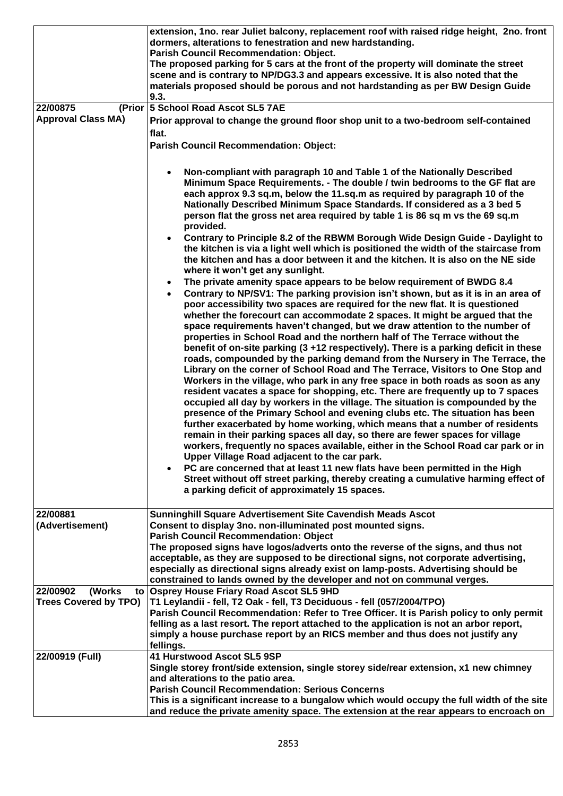|                              | extension, 1no. rear Juliet balcony, replacement roof with raised ridge height, 2no. front<br>dormers, alterations to fenestration and new hardstanding.                                                                                                                                                                                                                                                                                                                                                                                                                                                                                                                                                                                                                                                                                                                                                                                                                                                                                                                                                                                                                                                                                                                                                                                                                                                                                                                                                                                                                                                                         |
|------------------------------|----------------------------------------------------------------------------------------------------------------------------------------------------------------------------------------------------------------------------------------------------------------------------------------------------------------------------------------------------------------------------------------------------------------------------------------------------------------------------------------------------------------------------------------------------------------------------------------------------------------------------------------------------------------------------------------------------------------------------------------------------------------------------------------------------------------------------------------------------------------------------------------------------------------------------------------------------------------------------------------------------------------------------------------------------------------------------------------------------------------------------------------------------------------------------------------------------------------------------------------------------------------------------------------------------------------------------------------------------------------------------------------------------------------------------------------------------------------------------------------------------------------------------------------------------------------------------------------------------------------------------------|
|                              | <b>Parish Council Recommendation: Object.</b><br>The proposed parking for 5 cars at the front of the property will dominate the street<br>scene and is contrary to NP/DG3.3 and appears excessive. It is also noted that the                                                                                                                                                                                                                                                                                                                                                                                                                                                                                                                                                                                                                                                                                                                                                                                                                                                                                                                                                                                                                                                                                                                                                                                                                                                                                                                                                                                                     |
|                              | materials proposed should be porous and not hardstanding as per BW Design Guide<br>9.3.                                                                                                                                                                                                                                                                                                                                                                                                                                                                                                                                                                                                                                                                                                                                                                                                                                                                                                                                                                                                                                                                                                                                                                                                                                                                                                                                                                                                                                                                                                                                          |
| 22/00875<br>(Prior           | 5 School Road Ascot SL5 7AE                                                                                                                                                                                                                                                                                                                                                                                                                                                                                                                                                                                                                                                                                                                                                                                                                                                                                                                                                                                                                                                                                                                                                                                                                                                                                                                                                                                                                                                                                                                                                                                                      |
| <b>Approval Class MA)</b>    | Prior approval to change the ground floor shop unit to a two-bedroom self-contained                                                                                                                                                                                                                                                                                                                                                                                                                                                                                                                                                                                                                                                                                                                                                                                                                                                                                                                                                                                                                                                                                                                                                                                                                                                                                                                                                                                                                                                                                                                                              |
|                              | flat.                                                                                                                                                                                                                                                                                                                                                                                                                                                                                                                                                                                                                                                                                                                                                                                                                                                                                                                                                                                                                                                                                                                                                                                                                                                                                                                                                                                                                                                                                                                                                                                                                            |
|                              | <b>Parish Council Recommendation: Object:</b>                                                                                                                                                                                                                                                                                                                                                                                                                                                                                                                                                                                                                                                                                                                                                                                                                                                                                                                                                                                                                                                                                                                                                                                                                                                                                                                                                                                                                                                                                                                                                                                    |
|                              | Non-compliant with paragraph 10 and Table 1 of the Nationally Described<br>Minimum Space Requirements. - The double / twin bedrooms to the GF flat are<br>each approx 9.3 sq.m, below the 11.sq.m as required by paragraph 10 of the<br>Nationally Described Minimum Space Standards. If considered as a 3 bed 5<br>person flat the gross net area required by table 1 is 86 sq m vs the 69 sq.m                                                                                                                                                                                                                                                                                                                                                                                                                                                                                                                                                                                                                                                                                                                                                                                                                                                                                                                                                                                                                                                                                                                                                                                                                                 |
|                              | provided.<br>Contrary to Principle 8.2 of the RBWM Borough Wide Design Guide - Daylight to<br>the kitchen is via a light well which is positioned the width of the staircase from<br>the kitchen and has a door between it and the kitchen. It is also on the NE side<br>where it won't get any sunlight.                                                                                                                                                                                                                                                                                                                                                                                                                                                                                                                                                                                                                                                                                                                                                                                                                                                                                                                                                                                                                                                                                                                                                                                                                                                                                                                        |
|                              | The private amenity space appears to be below requirement of BWDG 8.4<br>$\bullet$<br>Contrary to NP/SV1: The parking provision isn't shown, but as it is in an area of<br>poor accessibility two spaces are required for the new flat. It is questioned<br>whether the forecourt can accommodate 2 spaces. It might be argued that the<br>space requirements haven't changed, but we draw attention to the number of<br>properties in School Road and the northern half of The Terrace without the<br>benefit of on-site parking (3 +12 respectively). There is a parking deficit in these<br>roads, compounded by the parking demand from the Nursery in The Terrace, the<br>Library on the corner of School Road and The Terrace, Visitors to One Stop and<br>Workers in the village, who park in any free space in both roads as soon as any<br>resident vacates a space for shopping, etc. There are frequently up to 7 spaces<br>occupied all day by workers in the village. The situation is compounded by the<br>presence of the Primary School and evening clubs etc. The situation has been<br>further exacerbated by home working, which means that a number of residents<br>remain in their parking spaces all day, so there are fewer spaces for village<br>workers, frequently no spaces available, either in the School Road car park or in<br>Upper Village Road adjacent to the car park.<br>PC are concerned that at least 11 new flats have been permitted in the High<br>Street without off street parking, thereby creating a cumulative harming effect of<br>a parking deficit of approximately 15 spaces. |
| 22/00881<br>(Advertisement)  | <b>Sunninghill Square Advertisement Site Cavendish Meads Ascot</b><br>Consent to display 3no. non-illuminated post mounted signs.<br><b>Parish Council Recommendation: Object</b><br>The proposed signs have logos/adverts onto the reverse of the signs, and thus not                                                                                                                                                                                                                                                                                                                                                                                                                                                                                                                                                                                                                                                                                                                                                                                                                                                                                                                                                                                                                                                                                                                                                                                                                                                                                                                                                           |
|                              | acceptable, as they are supposed to be directional signs, not corporate advertising,<br>especially as directional signs already exist on lamp-posts. Advertising should be<br>constrained to lands owned by the developer and not on communal verges.                                                                                                                                                                                                                                                                                                                                                                                                                                                                                                                                                                                                                                                                                                                                                                                                                                                                                                                                                                                                                                                                                                                                                                                                                                                                                                                                                                            |
| 22/00902<br>(Works)<br>to    | <b>Osprey House Friary Road Ascot SL5 9HD</b>                                                                                                                                                                                                                                                                                                                                                                                                                                                                                                                                                                                                                                                                                                                                                                                                                                                                                                                                                                                                                                                                                                                                                                                                                                                                                                                                                                                                                                                                                                                                                                                    |
| <b>Trees Covered by TPO)</b> | T1 Leylandii - fell, T2 Oak - fell, T3 Deciduous - fell (057/2004/TPO)                                                                                                                                                                                                                                                                                                                                                                                                                                                                                                                                                                                                                                                                                                                                                                                                                                                                                                                                                                                                                                                                                                                                                                                                                                                                                                                                                                                                                                                                                                                                                           |
|                              | Parish Council Recommendation: Refer to Tree Officer. It is Parish policy to only permit                                                                                                                                                                                                                                                                                                                                                                                                                                                                                                                                                                                                                                                                                                                                                                                                                                                                                                                                                                                                                                                                                                                                                                                                                                                                                                                                                                                                                                                                                                                                         |
|                              | felling as a last resort. The report attached to the application is not an arbor report,<br>simply a house purchase report by an RICS member and thus does not justify any<br>fellings.                                                                                                                                                                                                                                                                                                                                                                                                                                                                                                                                                                                                                                                                                                                                                                                                                                                                                                                                                                                                                                                                                                                                                                                                                                                                                                                                                                                                                                          |
| 22/00919 (Full)              | 41 Hurstwood Ascot SL5 9SP                                                                                                                                                                                                                                                                                                                                                                                                                                                                                                                                                                                                                                                                                                                                                                                                                                                                                                                                                                                                                                                                                                                                                                                                                                                                                                                                                                                                                                                                                                                                                                                                       |
|                              | Single storey front/side extension, single storey side/rear extension, x1 new chimney                                                                                                                                                                                                                                                                                                                                                                                                                                                                                                                                                                                                                                                                                                                                                                                                                                                                                                                                                                                                                                                                                                                                                                                                                                                                                                                                                                                                                                                                                                                                            |
|                              | and alterations to the patio area.<br><b>Parish Council Recommendation: Serious Concerns</b>                                                                                                                                                                                                                                                                                                                                                                                                                                                                                                                                                                                                                                                                                                                                                                                                                                                                                                                                                                                                                                                                                                                                                                                                                                                                                                                                                                                                                                                                                                                                     |
|                              | This is a significant increase to a bungalow which would occupy the full width of the site                                                                                                                                                                                                                                                                                                                                                                                                                                                                                                                                                                                                                                                                                                                                                                                                                                                                                                                                                                                                                                                                                                                                                                                                                                                                                                                                                                                                                                                                                                                                       |
|                              | and reduce the private amenity space. The extension at the rear appears to encroach on                                                                                                                                                                                                                                                                                                                                                                                                                                                                                                                                                                                                                                                                                                                                                                                                                                                                                                                                                                                                                                                                                                                                                                                                                                                                                                                                                                                                                                                                                                                                           |